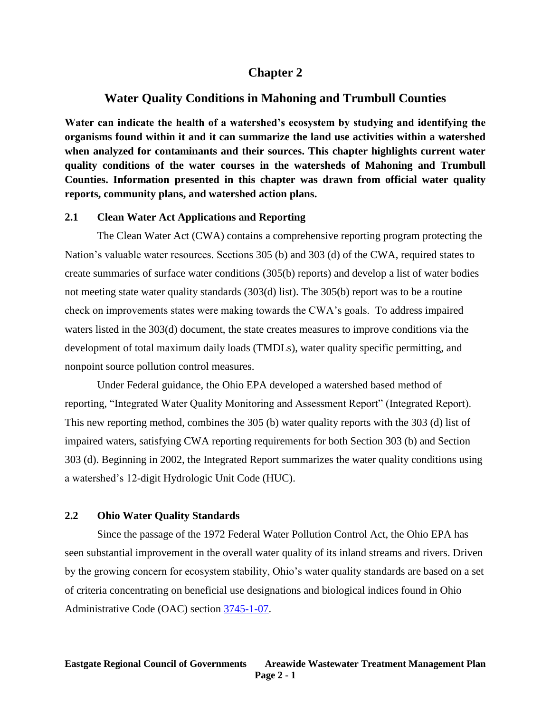# **Chapter 2**

# **Water Quality Conditions in Mahoning and Trumbull Counties**

**Water can indicate the health of a watershed's ecosystem by studying and identifying the organisms found within it and it can summarize the land use activities within a watershed when analyzed for contaminants and their sources. This chapter highlights current water quality conditions of the water courses in the watersheds of Mahoning and Trumbull Counties. Information presented in this chapter was drawn from official water quality reports, community plans, and watershed action plans.**

### **2.1 Clean Water Act Applications and Reporting**

The Clean Water Act (CWA) contains a comprehensive reporting program protecting the Nation's valuable water resources. Sections 305 (b) and 303 (d) of the CWA, required states to create summaries of surface water conditions (305(b) reports) and develop a list of water bodies not meeting state water quality standards (303(d) list). The 305(b) report was to be a routine check on improvements states were making towards the CWA's goals. To address impaired waters listed in the 303(d) document, the state creates measures to improve conditions via the development of total maximum daily loads (TMDLs), water quality specific permitting, and nonpoint source pollution control measures.

Under Federal guidance, the Ohio EPA developed a watershed based method of reporting, "Integrated Water Quality Monitoring and Assessment Report" (Integrated Report). This new reporting method, combines the 305 (b) water quality reports with the 303 (d) list of impaired waters, satisfying CWA reporting requirements for both Section 303 (b) and Section 303 (d). Beginning in 2002, the Integrated Report summarizes the water quality conditions using a watershed's 12-digit Hydrologic Unit Code (HUC).

## **2.2 Ohio Water Quality Standards**

Since the passage of the 1972 Federal Water Pollution Control Act, the Ohio EPA has seen substantial improvement in the overall water quality of its inland streams and rivers. Driven by the growing concern for ecosystem stability, Ohio's water quality standards are based on a set of criteria concentrating on beneficial use designations and biological indices found in Ohio Administrative Code (OAC) section [3745-1-07.](http://www.epa.state.oh.us/dsw/rules/3745_1.aspx)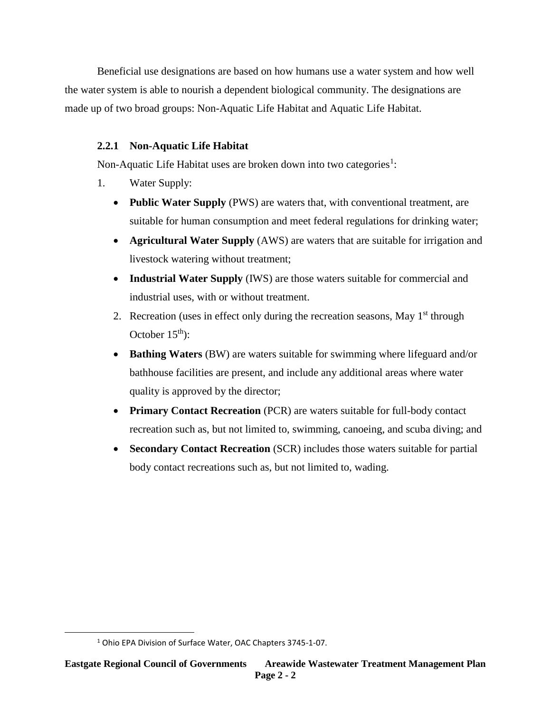Beneficial use designations are based on how humans use a water system and how well the water system is able to nourish a dependent biological community. The designations are made up of two broad groups: Non-Aquatic Life Habitat and Aquatic Life Habitat.

# **2.2.1 Non-Aquatic Life Habitat**

Non-Aquatic Life Habitat uses are broken down into two categories<sup>1</sup>:

- 1. Water Supply:
	- **Public Water Supply** (PWS) are waters that, with conventional treatment, are suitable for human consumption and meet federal regulations for drinking water;
	- **Agricultural Water Supply** (AWS) are waters that are suitable for irrigation and livestock watering without treatment;
	- **Industrial Water Supply** (IWS) are those waters suitable for commercial and industrial uses, with or without treatment.
	- 2. Recreation (uses in effect only during the recreation seasons, May  $1<sup>st</sup>$  through October  $15<sup>th</sup>$ :
	- **Bathing Waters** (BW) are waters suitable for swimming where lifeguard and/or bathhouse facilities are present, and include any additional areas where water quality is approved by the director;
	- **Primary Contact Recreation** (PCR) are waters suitable for full-body contact recreation such as, but not limited to, swimming, canoeing, and scuba diving; and
	- **Secondary Contact Recreation** (SCR) includes those waters suitable for partial body contact recreations such as, but not limited to, wading.

 $\overline{\phantom{a}}$ 

<sup>&</sup>lt;sup>1</sup> Ohio EPA Division of Surface Water, OAC Chapters 3745-1-07.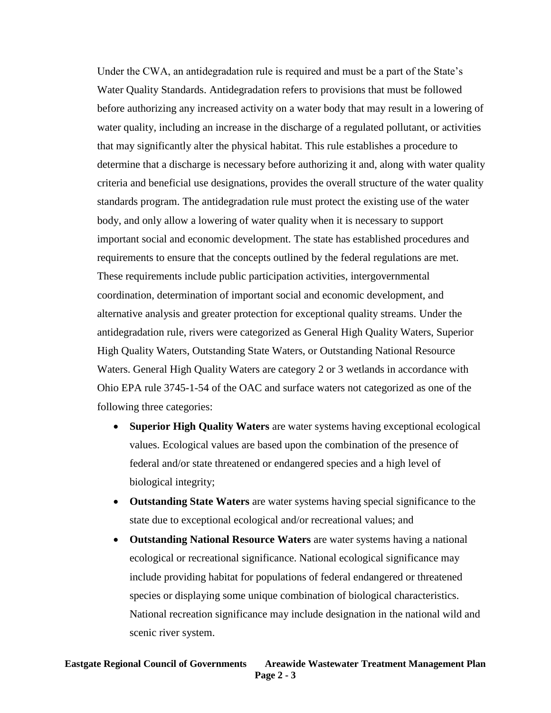Under the CWA, an antidegradation rule is required and must be a part of the State's Water Quality Standards. Antidegradation refers to provisions that must be followed before authorizing any increased activity on a water body that may result in a lowering of water quality, including an increase in the discharge of a regulated pollutant, or activities that may significantly alter the physical habitat. This rule establishes a procedure to determine that a discharge is necessary before authorizing it and, along with water quality criteria and beneficial use designations, provides the overall structure of the water quality standards program. The antidegradation rule must protect the existing use of the water body, and only allow a lowering of water quality when it is necessary to support important social and economic development. The state has established procedures and requirements to ensure that the concepts outlined by the federal regulations are met. These requirements include public participation activities, intergovernmental coordination, determination of important social and economic development, and alternative analysis and greater protection for exceptional quality streams. Under the antidegradation rule, rivers were categorized as General High Quality Waters, Superior High Quality Waters, Outstanding State Waters, or Outstanding National Resource Waters. General High Quality Waters are category 2 or 3 wetlands in accordance with Ohio EPA rule 3745-1-54 of the OAC and surface waters not categorized as one of the following three categories:

- **Superior High Quality Waters** are water systems having exceptional ecological values. Ecological values are based upon the combination of the presence of federal and/or state threatened or endangered species and a high level of biological integrity;
- **Outstanding State Waters** are water systems having special significance to the state due to exceptional ecological and/or recreational values; and
- **Outstanding National Resource Waters** are water systems having a national ecological or recreational significance. National ecological significance may include providing habitat for populations of federal endangered or threatened species or displaying some unique combination of biological characteristics. National recreation significance may include designation in the national wild and scenic river system.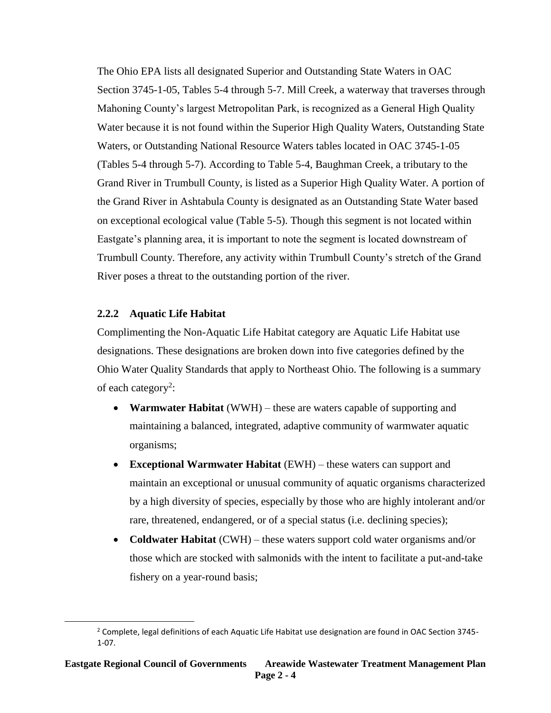The Ohio EPA lists all designated Superior and Outstanding State Waters in OAC Section 3745-1-05, Tables 5-4 through 5-7. Mill Creek, a waterway that traverses through Mahoning County's largest Metropolitan Park, is recognized as a General High Quality Water because it is not found within the Superior High Quality Waters, Outstanding State Waters, or Outstanding National Resource Waters tables located in OAC 3745-1-05 (Tables 5-4 through 5-7). According to Table 5-4, Baughman Creek, a tributary to the Grand River in Trumbull County, is listed as a Superior High Quality Water. A portion of the Grand River in Ashtabula County is designated as an Outstanding State Water based on exceptional ecological value (Table 5-5). Though this segment is not located within Eastgate's planning area, it is important to note the segment is located downstream of Trumbull County. Therefore, any activity within Trumbull County's stretch of the Grand River poses a threat to the outstanding portion of the river.

## **2.2.2 Aquatic Life Habitat**

 $\overline{\phantom{a}}$ 

Complimenting the Non-Aquatic Life Habitat category are Aquatic Life Habitat use designations. These designations are broken down into five categories defined by the Ohio Water Quality Standards that apply to Northeast Ohio. The following is a summary of each category<sup>2</sup>:

- **Warmwater Habitat** (WWH) these are waters capable of supporting and maintaining a balanced, integrated, adaptive community of warmwater aquatic organisms;
- **Exceptional Warmwater Habitat** (EWH) these waters can support and maintain an exceptional or unusual community of aquatic organisms characterized by a high diversity of species, especially by those who are highly intolerant and/or rare, threatened, endangered, or of a special status (i.e. declining species);
- **Coldwater Habitat** (CWH) these waters support cold water organisms and/or those which are stocked with salmonids with the intent to facilitate a put-and-take fishery on a year-round basis;

 $2$  Complete, legal definitions of each Aquatic Life Habitat use designation are found in OAC Section 3745-1-07.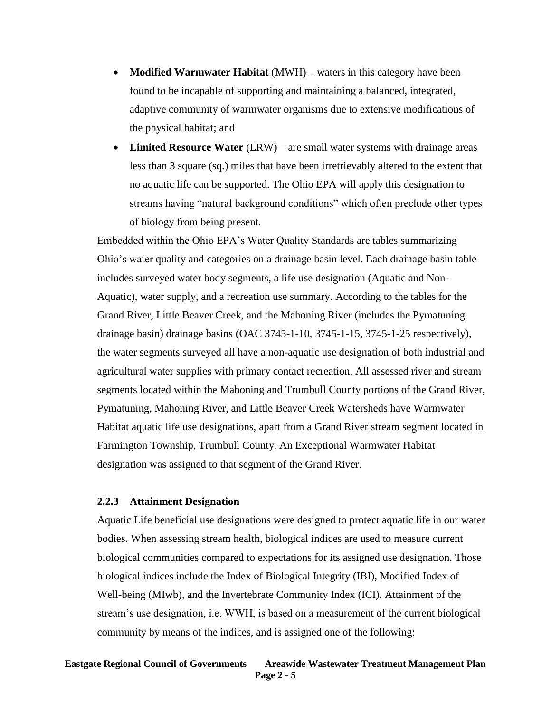- **Modified Warmwater Habitat** (MWH) waters in this category have been found to be incapable of supporting and maintaining a balanced, integrated, adaptive community of warmwater organisms due to extensive modifications of the physical habitat; and
- **Limited Resource Water** (LRW) are small water systems with drainage areas less than 3 square (sq.) miles that have been irretrievably altered to the extent that no aquatic life can be supported. The Ohio EPA will apply this designation to streams having "natural background conditions" which often preclude other types of biology from being present.

Embedded within the Ohio EPA's Water Quality Standards are tables summarizing Ohio's water quality and categories on a drainage basin level. Each drainage basin table includes surveyed water body segments, a life use designation (Aquatic and Non-Aquatic), water supply, and a recreation use summary. According to the tables for the Grand River, Little Beaver Creek, and the Mahoning River (includes the Pymatuning drainage basin) drainage basins (OAC 3745-1-10, 3745-1-15, 3745-1-25 respectively), the water segments surveyed all have a non-aquatic use designation of both industrial and agricultural water supplies with primary contact recreation. All assessed river and stream segments located within the Mahoning and Trumbull County portions of the Grand River, Pymatuning, Mahoning River, and Little Beaver Creek Watersheds have Warmwater Habitat aquatic life use designations, apart from a Grand River stream segment located in Farmington Township, Trumbull County. An Exceptional Warmwater Habitat designation was assigned to that segment of the Grand River.

### **2.2.3 Attainment Designation**

Aquatic Life beneficial use designations were designed to protect aquatic life in our water bodies. When assessing stream health, biological indices are used to measure current biological communities compared to expectations for its assigned use designation. Those biological indices include the Index of Biological Integrity (IBI), Modified Index of Well-being (MIwb), and the Invertebrate Community Index (ICI). Attainment of the stream's use designation, i.e. WWH, is based on a measurement of the current biological community by means of the indices, and is assigned one of the following: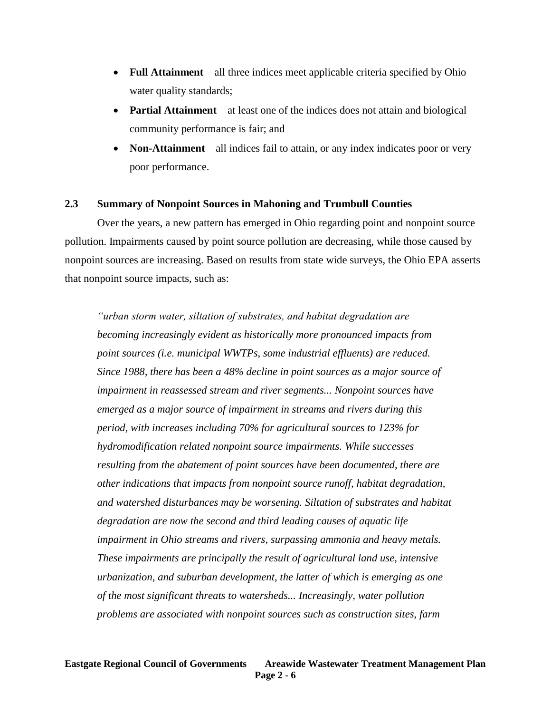- **Full Attainment** all three indices meet applicable criteria specified by Ohio water quality standards;
- **Partial Attainment** at least one of the indices does not attain and biological community performance is fair; and
- **Non-Attainment** all indices fail to attain, or any index indicates poor or very poor performance.

## **2.3 Summary of Nonpoint Sources in Mahoning and Trumbull Counties**

Over the years, a new pattern has emerged in Ohio regarding point and nonpoint source pollution. Impairments caused by point source pollution are decreasing, while those caused by nonpoint sources are increasing. Based on results from state wide surveys, the Ohio EPA asserts that nonpoint source impacts, such as:

*"urban storm water, siltation of substrates, and habitat degradation are becoming increasingly evident as historically more pronounced impacts from point sources (i.e. municipal WWTPs, some industrial effluents) are reduced. Since 1988, there has been a 48% decline in point sources as a major source of impairment in reassessed stream and river segments... Nonpoint sources have emerged as a major source of impairment in streams and rivers during this period, with increases including 70% for agricultural sources to 123% for hydromodification related nonpoint source impairments. While successes resulting from the abatement of point sources have been documented, there are other indications that impacts from nonpoint source runoff, habitat degradation, and watershed disturbances may be worsening. Siltation of substrates and habitat degradation are now the second and third leading causes of aquatic life impairment in Ohio streams and rivers, surpassing ammonia and heavy metals. These impairments are principally the result of agricultural land use, intensive urbanization, and suburban development, the latter of which is emerging as one of the most significant threats to watersheds... Increasingly, water pollution problems are associated with nonpoint sources such as construction sites, farm*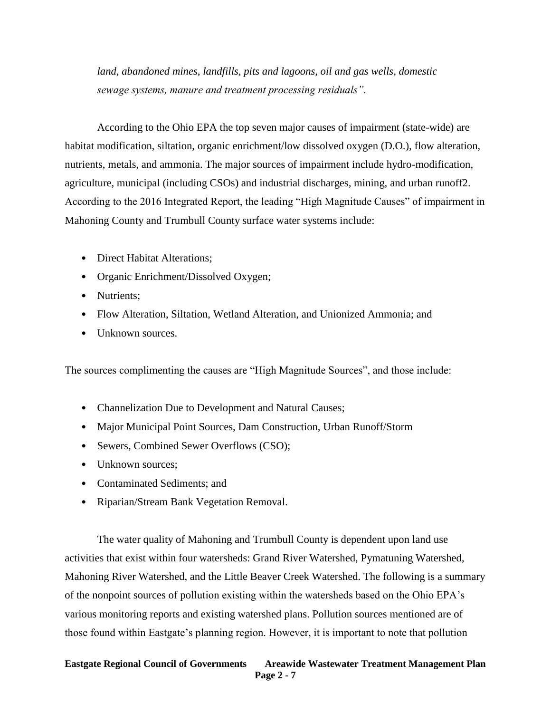*land, abandoned mines, landfills, pits and lagoons, oil and gas wells, domestic sewage systems, manure and treatment processing residuals".*

According to the Ohio EPA the top seven major causes of impairment (state-wide) are habitat modification, siltation, organic enrichment/low dissolved oxygen (D.O.), flow alteration, nutrients, metals, and ammonia. The major sources of impairment include hydro-modification, agriculture, municipal (including CSOs) and industrial discharges, mining, and urban runoff2. According to the 2016 Integrated Report, the leading "High Magnitude Causes" of impairment in Mahoning County and Trumbull County surface water systems include:

- Direct Habitat Alterations;
- Organic Enrichment/Dissolved Oxygen;
- Nutrients:
- Flow Alteration, Siltation, Wetland Alteration, and Unionized Ammonia; and
- Unknown sources.

The sources complimenting the causes are "High Magnitude Sources", and those include:

- Channelization Due to Development and Natural Causes;
- Major Municipal Point Sources, Dam Construction, Urban Runoff/Storm
- Sewers, Combined Sewer Overflows (CSO);
- Unknown sources:
- Contaminated Sediments: and
- Riparian/Stream Bank Vegetation Removal.

The water quality of Mahoning and Trumbull County is dependent upon land use activities that exist within four watersheds: Grand River Watershed, Pymatuning Watershed, Mahoning River Watershed, and the Little Beaver Creek Watershed. The following is a summary of the nonpoint sources of pollution existing within the watersheds based on the Ohio EPA's various monitoring reports and existing watershed plans. Pollution sources mentioned are of those found within Eastgate's planning region. However, it is important to note that pollution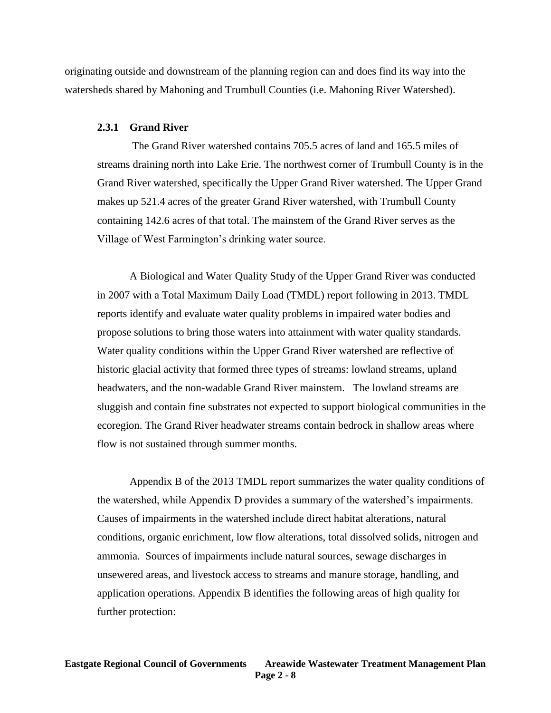originating outside and downstream of the planning region can and does find its way into the watersheds shared by Mahoning and Trumbull Counties (i.e. Mahoning River Watershed).

#### **2.3.1 Grand River**

The Grand River watershed contains 705.5 acres of land and 165.5 miles of streams draining north into Lake Erie. The northwest corner of Trumbull County is in the Grand River watershed, specifically the Upper Grand River watershed. The Upper Grand makes up 521.4 acres of the greater Grand River watershed, with Trumbull County containing 142.6 acres of that total. The mainstem of the Grand River serves as the Village of West Farmington's drinking water source.

A Biological and Water Quality Study of the Upper Grand River was conducted in 2007 with a Total Maximum Daily Load (TMDL) report following in 2013. TMDL reports identify and evaluate water quality problems in impaired water bodies and propose solutions to bring those waters into attainment with water quality standards. Water quality conditions within the Upper Grand River watershed are reflective of historic glacial activity that formed three types of streams: lowland streams, upland headwaters, and the non-wadable Grand River mainstem. The lowland streams are sluggish and contain fine substrates not expected to support biological communities in the ecoregion. The Grand River headwater streams contain bedrock in shallow areas where flow is not sustained through summer months.

Appendix B of the 2013 TMDL report summarizes the water quality conditions of the watershed, while Appendix D provides a summary of the watershed's impairments. Causes of impairments in the watershed include direct habitat alterations, natural conditions, organic enrichment, low flow alterations, total dissolved solids, nitrogen and ammonia. Sources of impairments include natural sources, sewage discharges in unsewered areas, and livestock access to streams and manure storage, handling, and application operations. Appendix B identifies the following areas of high quality for further protection: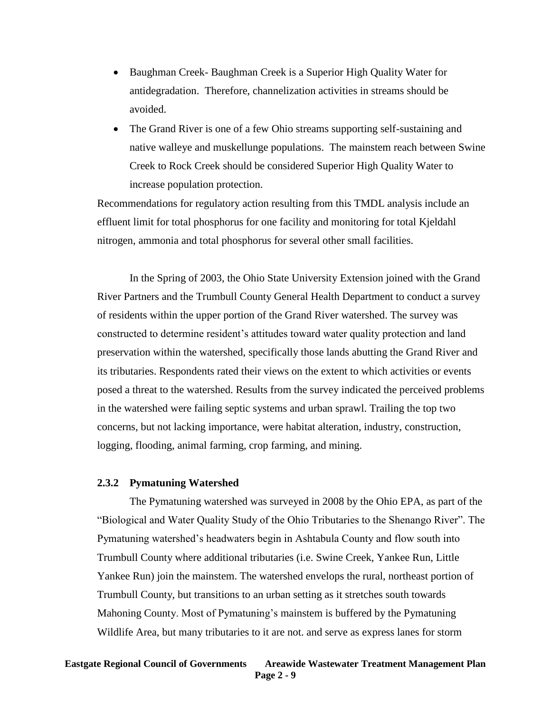- Baughman Creek- Baughman Creek is a Superior High Quality Water for antidegradation. Therefore, channelization activities in streams should be avoided.
- The Grand River is one of a few Ohio streams supporting self-sustaining and native walleye and muskellunge populations. The mainstem reach between Swine Creek to Rock Creek should be considered Superior High Quality Water to increase population protection.

Recommendations for regulatory action resulting from this TMDL analysis include an effluent limit for total phosphorus for one facility and monitoring for total Kjeldahl nitrogen, ammonia and total phosphorus for several other small facilities.

In the Spring of 2003, the Ohio State University Extension joined with the Grand River Partners and the Trumbull County General Health Department to conduct a survey of residents within the upper portion of the Grand River watershed. The survey was constructed to determine resident's attitudes toward water quality protection and land preservation within the watershed, specifically those lands abutting the Grand River and its tributaries. Respondents rated their views on the extent to which activities or events posed a threat to the watershed. Results from the survey indicated the perceived problems in the watershed were failing septic systems and urban sprawl. Trailing the top two concerns, but not lacking importance, were habitat alteration, industry, construction, logging, flooding, animal farming, crop farming, and mining.

#### **2.3.2 Pymatuning Watershed**

The Pymatuning watershed was surveyed in 2008 by the Ohio EPA, as part of the "Biological and Water Quality Study of the Ohio Tributaries to the Shenango River". The Pymatuning watershed's headwaters begin in Ashtabula County and flow south into Trumbull County where additional tributaries (i.e. Swine Creek, Yankee Run, Little Yankee Run) join the mainstem. The watershed envelops the rural, northeast portion of Trumbull County, but transitions to an urban setting as it stretches south towards Mahoning County. Most of Pymatuning's mainstem is buffered by the Pymatuning Wildlife Area, but many tributaries to it are not. and serve as express lanes for storm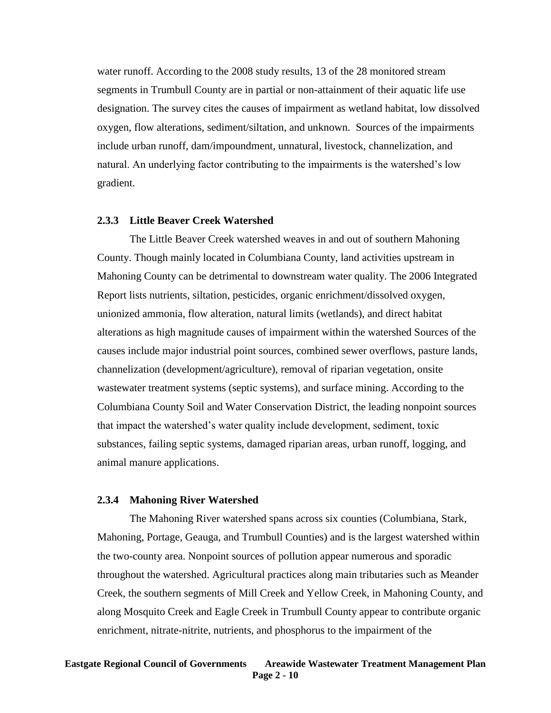water runoff. According to the 2008 study results, 13 of the 28 monitored stream segments in Trumbull County are in partial or non-attainment of their aquatic life use designation. The survey cites the causes of impairment as wetland habitat, low dissolved oxygen, flow alterations, sediment/siltation, and unknown. Sources of the impairments include urban runoff, dam/impoundment, unnatural, livestock, channelization, and natural. An underlying factor contributing to the impairments is the watershed's low gradient.

#### **2.3.3 Little Beaver Creek Watershed**

The Little Beaver Creek watershed weaves in and out of southern Mahoning County. Though mainly located in Columbiana County, land activities upstream in Mahoning County can be detrimental to downstream water quality. The 2006 Integrated Report lists nutrients, siltation, pesticides, organic enrichment/dissolved oxygen, unionized ammonia, flow alteration, natural limits (wetlands), and direct habitat alterations as high magnitude causes of impairment within the watershed Sources of the causes include major industrial point sources, combined sewer overflows, pasture lands, channelization (development/agriculture), removal of riparian vegetation, onsite wastewater treatment systems (septic systems), and surface mining. According to the Columbiana County Soil and Water Conservation District, the leading nonpoint sources that impact the watershed's water quality include development, sediment, toxic substances, failing septic systems, damaged riparian areas, urban runoff, logging, and animal manure applications.

#### **2.3.4 Mahoning River Watershed**

The Mahoning River watershed spans across six counties (Columbiana, Stark, Mahoning, Portage, Geauga, and Trumbull Counties) and is the largest watershed within the two-county area. Nonpoint sources of pollution appear numerous and sporadic throughout the watershed. Agricultural practices along main tributaries such as Meander Creek, the southern segments of Mill Creek and Yellow Creek, in Mahoning County, and along Mosquito Creek and Eagle Creek in Trumbull County appear to contribute organic enrichment, nitrate-nitrite, nutrients, and phosphorus to the impairment of the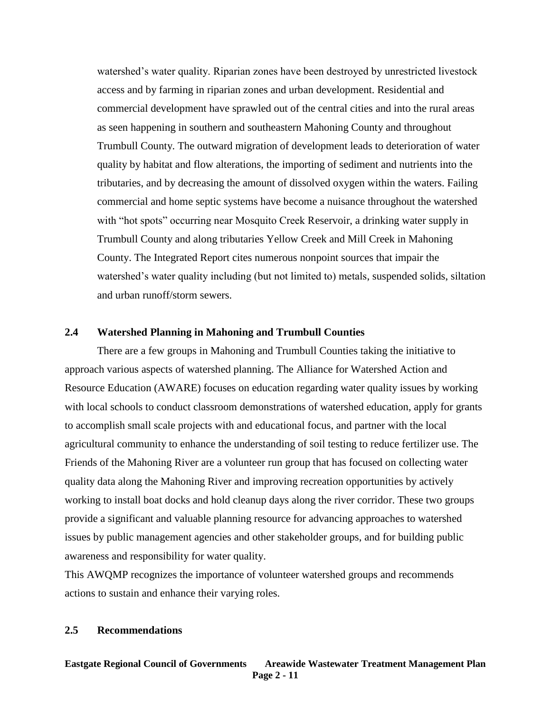watershed's water quality. Riparian zones have been destroyed by unrestricted livestock access and by farming in riparian zones and urban development. Residential and commercial development have sprawled out of the central cities and into the rural areas as seen happening in southern and southeastern Mahoning County and throughout Trumbull County. The outward migration of development leads to deterioration of water quality by habitat and flow alterations, the importing of sediment and nutrients into the tributaries, and by decreasing the amount of dissolved oxygen within the waters. Failing commercial and home septic systems have become a nuisance throughout the watershed with "hot spots" occurring near Mosquito Creek Reservoir, a drinking water supply in Trumbull County and along tributaries Yellow Creek and Mill Creek in Mahoning County. The Integrated Report cites numerous nonpoint sources that impair the watershed's water quality including (but not limited to) metals, suspended solids, siltation and urban runoff/storm sewers.

## **2.4 Watershed Planning in Mahoning and Trumbull Counties**

There are a few groups in Mahoning and Trumbull Counties taking the initiative to approach various aspects of watershed planning. The Alliance for Watershed Action and Resource Education (AWARE) focuses on education regarding water quality issues by working with local schools to conduct classroom demonstrations of watershed education, apply for grants to accomplish small scale projects with and educational focus, and partner with the local agricultural community to enhance the understanding of soil testing to reduce fertilizer use. The Friends of the Mahoning River are a volunteer run group that has focused on collecting water quality data along the Mahoning River and improving recreation opportunities by actively working to install boat docks and hold cleanup days along the river corridor. These two groups provide a significant and valuable planning resource for advancing approaches to watershed issues by public management agencies and other stakeholder groups, and for building public awareness and responsibility for water quality.

This AWQMP recognizes the importance of volunteer watershed groups and recommends actions to sustain and enhance their varying roles.

#### **2.5 Recommendations**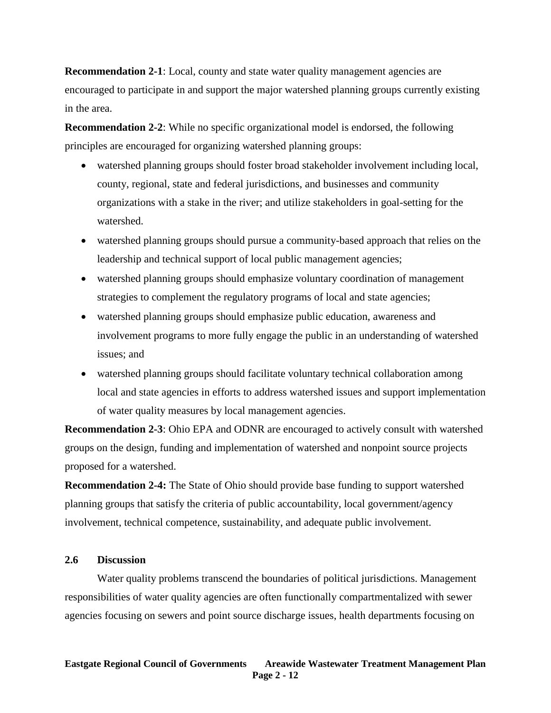**Recommendation 2-1**: Local, county and state water quality management agencies are encouraged to participate in and support the major watershed planning groups currently existing in the area.

**Recommendation 2-2**: While no specific organizational model is endorsed, the following principles are encouraged for organizing watershed planning groups:

- watershed planning groups should foster broad stakeholder involvement including local, county, regional, state and federal jurisdictions, and businesses and community organizations with a stake in the river; and utilize stakeholders in goal-setting for the watershed.
- watershed planning groups should pursue a community-based approach that relies on the leadership and technical support of local public management agencies;
- watershed planning groups should emphasize voluntary coordination of management strategies to complement the regulatory programs of local and state agencies;
- watershed planning groups should emphasize public education, awareness and involvement programs to more fully engage the public in an understanding of watershed issues; and
- watershed planning groups should facilitate voluntary technical collaboration among local and state agencies in efforts to address watershed issues and support implementation of water quality measures by local management agencies.

**Recommendation 2-3**: Ohio EPA and ODNR are encouraged to actively consult with watershed groups on the design, funding and implementation of watershed and nonpoint source projects proposed for a watershed.

**Recommendation 2-4:** The State of Ohio should provide base funding to support watershed planning groups that satisfy the criteria of public accountability, local government/agency involvement, technical competence, sustainability, and adequate public involvement.

## **2.6 Discussion**

Water quality problems transcend the boundaries of political jurisdictions. Management responsibilities of water quality agencies are often functionally compartmentalized with sewer agencies focusing on sewers and point source discharge issues, health departments focusing on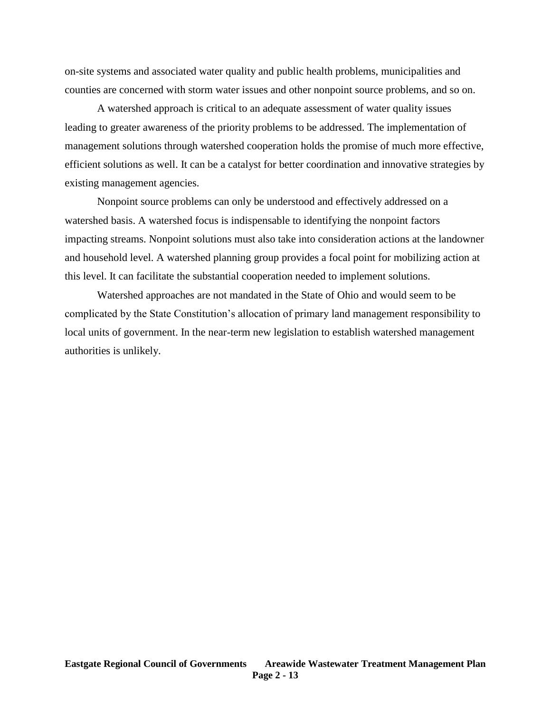on-site systems and associated water quality and public health problems, municipalities and counties are concerned with storm water issues and other nonpoint source problems, and so on.

A watershed approach is critical to an adequate assessment of water quality issues leading to greater awareness of the priority problems to be addressed. The implementation of management solutions through watershed cooperation holds the promise of much more effective, efficient solutions as well. It can be a catalyst for better coordination and innovative strategies by existing management agencies.

Nonpoint source problems can only be understood and effectively addressed on a watershed basis. A watershed focus is indispensable to identifying the nonpoint factors impacting streams. Nonpoint solutions must also take into consideration actions at the landowner and household level. A watershed planning group provides a focal point for mobilizing action at this level. It can facilitate the substantial cooperation needed to implement solutions.

Watershed approaches are not mandated in the State of Ohio and would seem to be complicated by the State Constitution's allocation of primary land management responsibility to local units of government. In the near-term new legislation to establish watershed management authorities is unlikely.